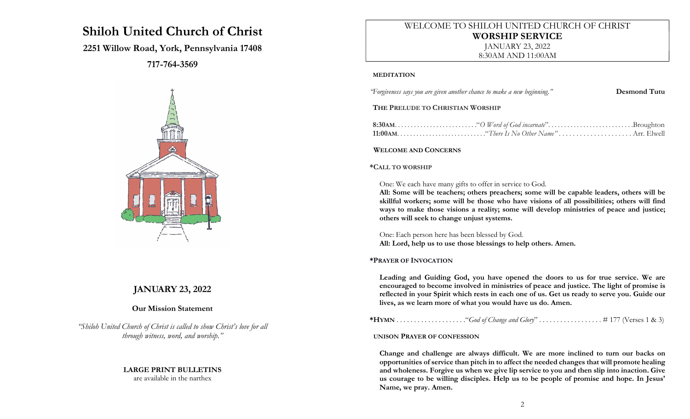# Shiloh United Church of Christ

## 2251 Willow Road, York, Pennsylvania 17408

717-764-3569



## JANUARY 23, 2022

## Our Mission Statement

"Shiloh United Church of Christ is called to show Christ's love for all through witness, word, and worship."

#### LARGE PRINT BULLETINS are available in the narthex

## WELCOME TO SHILOH UNITED CHURCH OF CHRIST WORSHIP SERVICE JANUARY 23, 2022

8:30AM AND 11:00AM

#### MEDITATION

"Forgiveness says you are given another chance to make a new beginning." Desmond Tutu

#### THE PRELUDE TO CHRISTIAN WORSHIP

#### WELCOME AND CONCERNS

#### \*CALL TO WORSHIP

#### One: We each have many gifts to offer in service to God.

All: Some will be teachers; others preachers; some will be capable leaders, others will be skillful workers; some will be those who have visions of all possibilities; others will find ways to make those visions a reality; some will develop ministries of peace and justice; others will seek to change unjust systems.

One: Each person here has been blessed by God. All: Lord, help us to use those blessings to help others. Amen.

#### \*PRAYER OF INVOCATION

Leading and Guiding God, you have opened the doors to us for true service. We are encouraged to become involved in ministries of peace and justice. The light of promise is reflected in your Spirit which rests in each one of us. Get us ready to serve you. Guide our lives, as we learn more of what you would have us do. Amen.

\*HYMN . . . . . . . . . . . . . . . . . . . ."God of Change and Glory" . . . . . . . . . . . . . . . . . . # 177 (Verses 1 & 3)

#### UNISON PRAYER OF CONFESSION

Change and challenge are always difficult. We are more inclined to turn our backs on opportunities of service than pitch in to affect the needed changes that will promote healing and wholeness. Forgive us when we give lip service to you and then slip into inaction. Give us courage to be willing disciples. Help us to be people of promise and hope. In Jesus' Name, we pray. Amen.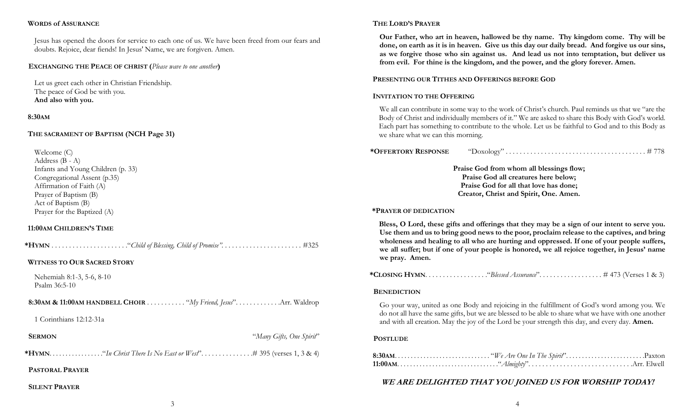#### WORDS of ASSURANCE

Jesus has opened the doors for service to each one of us. We have been freed from our fears and doubts. Rejoice, dear fiends! In Jesus' Name, we are forgiven. Amen.

#### EXCHANGING THE PEACE OF CHRIST (Please wave to one another)

Let us greet each other in Christian Friendship. The peace of God be with you. And also with you.

#### 8:30AM

#### THE SACRAMENT OF BAPTISM (NCH Page 31)

Welcome (C) Address (B - A) Infants and Young Children (p. 33) Congregational Assent (p.35) Affirmation of Faith (A) Prayer of Baptism (B) Act of Baptism (B) Prayer for the Baptized (A)

#### 11:00AM CHILDREN'S TIME

| <b>WITNESS TO OUR SACRED STORY</b>           |                          |
|----------------------------------------------|--------------------------|
| Nehemiah 8:1-3, 5-6, 8-10<br>Psalm $36:5-10$ |                          |
|                                              |                          |
| 1 Corinthians 12:12-31a                      |                          |
| <b>SERMON</b>                                | "Many Gifts, One Spirit" |
|                                              |                          |
| <b>PASTORAL PRAYER</b>                       |                          |
| <b>SILENT PRAYER</b>                         |                          |

#### THE LORD'S PRAYER

Our Father, who art in heaven, hallowed be thy name. Thy kingdom come. Thy will be done, on earth as it is in heaven. Give us this day our daily bread. And forgive us our sins, as we forgive those who sin against us. And lead us not into temptation, but deliver us from evil. For thine is the kingdom, and the power, and the glory forever. Amen.

#### PRESENTING OUR TITHES AND OFFERINGS BEFORE GOD

#### INVITATION TO THE OFFERING

We all can contribute in some way to the work of Christ's church. Paul reminds us that we "are the Body of Christ and individually members of it." We are asked to share this Body with God's world. Each part has something to contribute to the whole. Let us be faithful to God and to this Body as we share what we can this morning.

| <i><b>*OFFERTORY RESPONSE</b></i> | "Doxology" |  |
|-----------------------------------|------------|--|
|                                   |            |  |

Praise God from whom all blessings flow; Praise God all creatures here below; Praise God for all that love has done; Creator, Christ and Spirit, One. Amen.

#### \*PRAYER OF DEDICATION

Bless, O Lord, these gifts and offerings that they may be a sign of our intent to serve you. Use them and us to bring good news to the poor, proclaim release to the captives, and bring wholeness and healing to all who are hurting and oppressed. If one of your people suffers, we all suffer; but if one of your people is honored, we all rejoice together, in Jesus' name we pray. Amen.

\*CLOSING HYMN. . . . . . . . . . . . . . . . . ."Blessed Assurance". . . . . . . . . . . . . . . . . . # 473 (Verses 1 & 3)

#### **BENEDICTION**

Go your way, united as one Body and rejoicing in the fulfillment of God's word among you. We do not all have the same gifts, but we are blessed to be able to share what we have with one another and with all creation. May the joy of the Lord be your strength this day, and every day. **Amen.** 

#### **POSTLUDE**

## WE ARE DELIGHTED THAT YOU JOINED US FOR WORSHIP TODAY!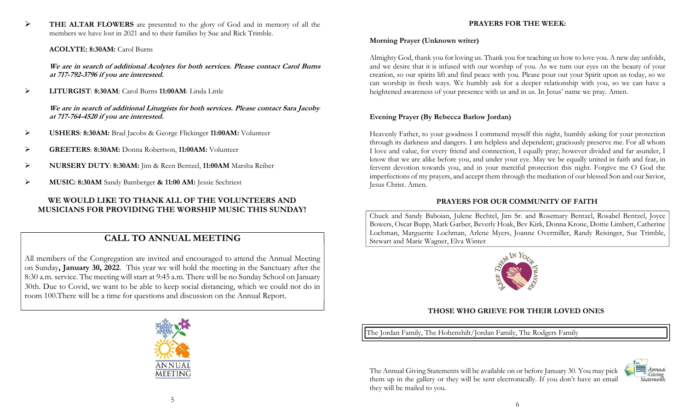THE ALTAR FLOWERS are presented to the glory of God and in memory of all the members we have lost in 2021 and to their families by Sue and Rick Trimble.

### ACOLYTE: 8:30AM: Carol Burns

We are in search of additional Acolytes for both services. Please contact Carol Burns at 717-792-3796 if you are interested.

LITURGIST: 8:30AM: Carol Burns 11:00AM: Linda Little

We are in search of additional Liturgists for both services. Please contact Sara Jacoby at 717-764-4520 if you are interested.

- USHERS: 8:30AM: Brad Jacobs & George Flickinger 11:00AM: Volunteer
- GREETERS: 8:30AM: Donna Robertson, 11:00AM: Volunteer
- NURSERY DUTY: 8:30AM: Jim & Reen Bentzel, 11:00AM Marsha Reiber
- MUSIC: 8:30AM Sandy Bamberger & 11:00 AM: Jessie Sechriest

## WE WOULD LIKE TO THANK ALL OF THE VOLUNTEERS AND MUSICIANS FOR PROVIDING THE WORSHIP MUSIC THIS SUNDAY!

## CALL TO ANNUAL MEETING

All members of the Congregation are invited and encouraged to attend the Annual Meeting on Sunday, January 30, 2022. This year we will hold the meeting in the Sanctuary after the 8:30 a.m. service. The meeting will start at 9:45 a.m. There will be no Sunday School on January 30th. Due to Covid, we want to be able to keep social distancing, which we could not do in room 100.There will be a time for questions and discussion on the Annual Report.



## Morning Prayer (Unknown writer)

Almighty God, thank you for loving us. Thank you for teaching us how to love you. A new day unfolds, and we desire that it is infused with our worship of you. As we turn our eyes on the beauty of your creation, so our spirits lift and find peace with you. Please pour out your Spirit upon us today, so we can worship in fresh ways. We humbly ask for a deeper relationship with you, so we can have a heightened awareness of your presence with us and in us. In Jesus' name we pray. Amen.

### Evening Prayer (By Rebecca Barlow Jordan)

Heavenly Father, to your goodness I commend myself this night, humbly asking for your protection through its darkness and dangers. I am helpless and dependent; graciously preserve me. For all whom I love and value, for every friend and connection, I equally pray; however divided and far asunder, I know that we are alike before you, and under your eye. May we be equally united in faith and fear, in fervent devotion towards you, and in your merciful protection this night. Forgive me O God the imperfections of my prayers, and accept them through the mediation of our blessed Son and our Savior, Jesus Christ. Amen.

## PRAYERS FOR OUR COMMUNITY OF FAITH

Chuck and Sandy Baboian, Julene Bechtel, Jim Sr. and Rosemary Bentzel, Rosabel Bentzel, Joyce Bowers, Oscar Bupp, Mark Garber, Beverly Hoak, Bev Kirk, Donna Krone, Dottie Limbert, Catherine Lochman, Marguerite Lochman, Arlene Myers, Joanne Overmiller, Randy Reisinger, Sue Trimble, Stewart and Marie Wagner, Elva Winter



## THOSE WHO GRIEVE FOR THEIR LOVED ONES

The Jordan Family, The Hohenshilt/Jordan Family, The Rodgers Family

The Annual Giving Statements will be available on or before January 30. You may pick them up in the gallery or they will be sent electronically. If you don't have an email they will be mailed to you.